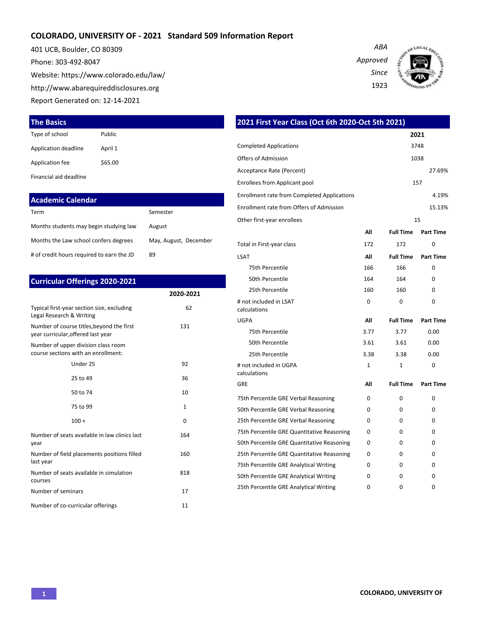# **COLORADO, UNIVERSITY OF - 2021 Standard 509 Information Report**

401 UCB, Boulder, CO 80309 Phone: 303-492-8047 Website: https://www.colorado.edu/law/ http://www.abarequireddisclosures.org Report Generated on: 12-14-2021





| Application deadline                   | April 1 | Com                   |            |  |  |  |
|----------------------------------------|---------|-----------------------|------------|--|--|--|
| Application fee                        | \$65.00 |                       | Offer      |  |  |  |
| Financial aid deadline                 |         |                       |            |  |  |  |
|                                        |         |                       | Enro       |  |  |  |
| <b>Academic Calendar</b>               |         |                       |            |  |  |  |
| Term                                   |         | Semester              | Enro       |  |  |  |
| Months students may begin studying law |         | August                | Othe       |  |  |  |
| Months the Law school confers degrees  |         | May, August, December | – <b>.</b> |  |  |  |

# of credit hours required to earn the JD 89

**The Basics**

Type of school Public

### **Curricular Offerings 2020-2021**

|                                                                                 | 2020-2021 |
|---------------------------------------------------------------------------------|-----------|
| Typical first-year section size, excluding<br>Legal Research & Writing          | 62        |
| Number of course titles, beyond the first<br>year curricular, offered last year | 131       |
| Number of upper division class room<br>course sections with an enrollment:      |           |
| Under 25                                                                        | 92        |
| 25 to 49                                                                        | 36        |
| 50 to 74                                                                        | 10        |
| 75 to 99                                                                        | 1         |
| $100 +$                                                                         | 0         |
| Number of seats available in law clinics last<br>year                           | 164       |
| Number of field placements positions filled<br>last year                        | 160       |
| Number of seats available in simulation<br>courses                              | 818       |
| Number of seminars                                                              | 17        |
| Number of co-curricular offerings                                               | 11        |

|      |                  | 2021                                              |
|------|------------------|---------------------------------------------------|
|      |                  | 3748                                              |
|      |                  | 1038                                              |
|      |                  | 27.69%                                            |
|      |                  | 157                                               |
|      |                  | 4.19%                                             |
|      |                  | 15.13%                                            |
|      |                  | 15                                                |
| All  | <b>Full Time</b> | <b>Part Time</b>                                  |
| 172  | 172              | 0                                                 |
| All  | <b>Full Time</b> | <b>Part Time</b>                                  |
| 166  | 166              | 0                                                 |
| 164  | 164              | 0                                                 |
| 160  | 160              | 0                                                 |
| 0    | 0                | 0                                                 |
| All  | <b>Full Time</b> | <b>Part Time</b>                                  |
| 3.77 | 3.77             | 0.00                                              |
| 3.61 | 3.61             | 0.00                                              |
| 3.38 | 3.38             | 0.00                                              |
| 1    | 1                | 0                                                 |
| All  | <b>Full Time</b> | <b>Part Time</b>                                  |
| 0    | 0                | 0                                                 |
| 0    | 0                | 0                                                 |
| 0    | 0                | 0                                                 |
| 0    | 0                | 0                                                 |
| 0    | 0                | 0                                                 |
| 0    | 0                | 0                                                 |
| 0    | 0                | 0                                                 |
| 0    | 0                | 0                                                 |
| 0    | 0                | 0                                                 |
|      |                  | 2021 First Year Class (Oct 6th 2020-Oct 5th 2021) |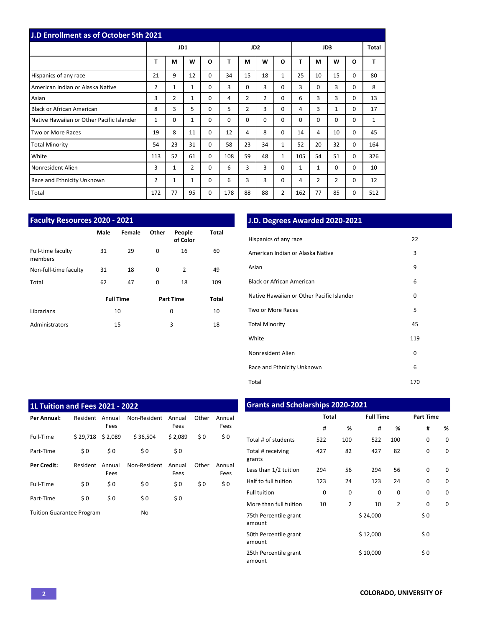| <b>J.D Enrollment as of October 5th 2021</b> |              |                |    |              |          |                 |                |                |              |                |          |          |     |
|----------------------------------------------|--------------|----------------|----|--------------|----------|-----------------|----------------|----------------|--------------|----------------|----------|----------|-----|
|                                              |              | JD1            |    |              |          | JD <sub>2</sub> |                |                |              | JD3            | Total    |          |     |
|                                              | T            | М              | W  | $\mathbf{o}$ | T        | M               | W              | O              | T            | М              | W        | O        | T   |
| Hispanics of any race                        | 21           | 9              | 12 | 0            | 34       | 15              | 18             | 1              | 25           | 10             | 15       | 0        | 80  |
| American Indian or Alaska Native             | 2            | 1              | 1  | 0            | 3        | $\Omega$        | 3              | $\Omega$       | 3            | $\Omega$       | 3        | $\Omega$ | 8   |
| Asian                                        | 3            | $\overline{2}$ | 1  | $\Omega$     | 4        | $\overline{2}$  | $\overline{2}$ | $\Omega$       | 6            | 3              | 3        | 0        | 13  |
| <b>Black or African American</b>             | 8            | 3              | 5  | 0            | 5        | $\overline{2}$  | 3              | $\Omega$       | 4            | 3              | 1        | 0        | 17  |
| Native Hawaiian or Other Pacific Islander    | $\mathbf{1}$ | 0              | 1  | 0            | $\Omega$ | $\Omega$        | 0              | 0              | 0            | $\Omega$       | 0        | 0        | 1   |
| Two or More Races                            | 19           | 8              | 11 | 0            | 12       | 4               | 8              | $\Omega$       | 14           | 4              | 10       | 0        | 45  |
| <b>Total Minority</b>                        | 54           | 23             | 31 | $\Omega$     | 58       | 23              | 34             | $\mathbf{1}$   | 52           | 20             | 32       | 0        | 164 |
| White                                        | 113          | 52             | 61 | $\Omega$     | 108      | 59              | 48             | $\mathbf{1}$   | 105          | 54             | 51       | $\Omega$ | 326 |
| Nonresident Alien                            | 3            | $\mathbf{1}$   | 2  | 0            | 6        | 3               | 3              | $\Omega$       | $\mathbf{1}$ | $\mathbf{1}$   | $\Omega$ | 0        | 10  |
| Race and Ethnicity Unknown                   | 2            | 1              | 1  | 0            | 6        | 3               | 3              | 0              | 4            | $\overline{2}$ | 2        | 0        | 12  |
| Total                                        | 172          | 77             | 95 | 0            | 178      | 88              | 88             | $\overline{2}$ | 162          | 77             | 85       | 0        | 512 |

| <b>Faculty Resources 2020 - 2021</b> |      |                  |       |                    |       |  |  |  |
|--------------------------------------|------|------------------|-------|--------------------|-------|--|--|--|
|                                      | Male | Female           | Other | People<br>of Color | Total |  |  |  |
| Full-time faculty<br>members         | 31   | 29               | 0     | 16                 | 60    |  |  |  |
| Non-full-time faculty                | 31   | 18               | 0     | $\overline{2}$     | 49    |  |  |  |
| Total                                | 62   | 47               | 0     | 18                 | 109   |  |  |  |
|                                      |      | <b>Full Time</b> |       | <b>Part Time</b>   | Total |  |  |  |
| Librarians                           |      | 10               |       | 0                  | 10    |  |  |  |
| Administrators                       |      | 15               |       | 3                  | 18    |  |  |  |

# **J.D. Degrees Awarded 2020-2021**

| Hispanics of any race                     | 22  |
|-------------------------------------------|-----|
| American Indian or Alaska Native          | 3   |
| Asian                                     | 9   |
| Black or African American                 | 6   |
| Native Hawaiian or Other Pacific Islander | 0   |
| Two or More Races                         | 5   |
| <b>Total Minority</b>                     | 45  |
| White                                     | 119 |
| Nonresident Alien                         | 0   |
| Race and Ethnicity Unknown                | 6   |
| Total                                     | 170 |

| <b>1L Tuition and Fees 2021 - 2022</b> |          |                |              |                |       |                |  |  |  |  |  |
|----------------------------------------|----------|----------------|--------------|----------------|-------|----------------|--|--|--|--|--|
| Per Annual:                            | Resident | Annual<br>Fees | Non-Resident | Annual<br>Fees | Other | Annual<br>Fees |  |  |  |  |  |
| Full-Time                              | \$29,718 | \$2,089        | \$36,504     | \$2,089        | \$0   | \$0            |  |  |  |  |  |
| Part-Time                              | \$0      | \$0            | \$0          | \$0            |       |                |  |  |  |  |  |
| <b>Per Credit:</b>                     | Resident | Annual<br>Fees | Non-Resident | Annual<br>Fees | Other | Annual<br>Fees |  |  |  |  |  |
| Full-Time                              | \$0      | \$0            | \$0          | \$0            | \$0   | \$0            |  |  |  |  |  |
| Part-Time                              | \$0      | \$0            | \$0          | \$0            |       |                |  |  |  |  |  |
| <b>Tuition Guarantee Program</b>       |          |                | No           |                |       |                |  |  |  |  |  |

# **Grants and Scholarships 2020-2021**

|                                 | <b>Total</b> |                | <b>Full Time</b> |                | <b>Part Time</b> |          |
|---------------------------------|--------------|----------------|------------------|----------------|------------------|----------|
|                                 | #            | %              | #                | %              | #                | %        |
| Total # of students             | 522          | 100            | 522              | 100            | 0                | 0        |
| Total # receiving<br>grants     | 427          | 82             | 427              | 82             | 0                | 0        |
| Less than 1/2 tuition           | 294          | 56             | 294              | 56             | $\Omega$         | 0        |
| Half to full tuition            | 123          | 24             | 123              | 24             | $\Omega$         | $\Omega$ |
| <b>Full tuition</b>             | 0            | 0              | 0                | 0              | 0                | 0        |
| More than full tuition          | 10           | $\overline{2}$ | 10               | $\overline{2}$ | 0                | 0        |
| 75th Percentile grant<br>amount |              |                | \$24,000         |                | \$0              |          |
| 50th Percentile grant<br>amount |              |                | \$12,000         |                | \$0              |          |
| 25th Percentile grant<br>amount |              |                | \$10,000         |                | \$0              |          |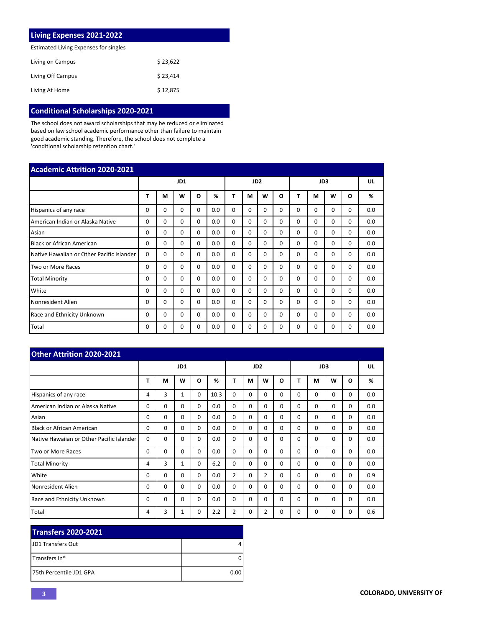| Living Expenses 2021-2022             |          |  |  |  |  |  |  |  |
|---------------------------------------|----------|--|--|--|--|--|--|--|
| Estimated Living Expenses for singles |          |  |  |  |  |  |  |  |
| Living on Campus                      | \$23.622 |  |  |  |  |  |  |  |
| Living Off Campus                     | \$23.414 |  |  |  |  |  |  |  |
| Living At Home                        | \$12,875 |  |  |  |  |  |  |  |

# **Conditional Scholarships 2020-2021**

The school does not award scholarships that may be reduced or eliminated based on law school academic performance other than failure to maintain good academic standing. Therefore, the school does not complete a 'conditional scholarship retention chart.'

| <b>Academic Attrition 2020-2021</b>       |          |          |          |          |     |          |          |                 |          |              |          |          |          |     |
|-------------------------------------------|----------|----------|----------|----------|-----|----------|----------|-----------------|----------|--------------|----------|----------|----------|-----|
|                                           |          |          | JD1      |          |     |          |          | JD <sub>2</sub> |          |              | JD3      | UL       |          |     |
|                                           | т        | М        | w        | O        | %   | Т        | М        | W               | O        | т            | M        | W        | $\Omega$ | %   |
| Hispanics of any race                     | 0        | 0        | $\Omega$ | $\Omega$ | 0.0 | $\Omega$ | 0        | $\Omega$        | $\Omega$ | <sup>0</sup> | $\Omega$ | 0        | 0        | 0.0 |
| American Indian or Alaska Native          | $\Omega$ | $\Omega$ | $\Omega$ | $\Omega$ | 0.0 | $\Omega$ | $\Omega$ | $\Omega$        | $\Omega$ | $\Omega$     | $\Omega$ | 0        | $\Omega$ | 0.0 |
| Asian                                     | 0        | $\Omega$ | $\Omega$ | $\Omega$ | 0.0 | $\Omega$ | $\Omega$ | $\Omega$        | 0        | $\Omega$     | $\Omega$ | $\Omega$ | $\Omega$ | 0.0 |
| <b>Black or African American</b>          | 0        | $\Omega$ | $\Omega$ | $\Omega$ | 0.0 | $\Omega$ | $\Omega$ | $\Omega$        | $\Omega$ | $\Omega$     | $\Omega$ | $\Omega$ | $\Omega$ | 0.0 |
| Native Hawaiian or Other Pacific Islander | $\Omega$ | $\Omega$ | $\Omega$ | $\Omega$ | 0.0 | $\Omega$ | $\Omega$ | $\Omega$        | 0        | $\Omega$     | 0        | 0        | 0        | 0.0 |
| Two or More Races                         | 0        | $\Omega$ | $\Omega$ | $\Omega$ | 0.0 | $\Omega$ | $\Omega$ | $\Omega$        | $\Omega$ | $\Omega$     | $\Omega$ | $\Omega$ | $\Omega$ | 0.0 |
| <b>Total Minority</b>                     | 0        | $\Omega$ | $\Omega$ | $\Omega$ | 0.0 | $\Omega$ | $\Omega$ | $\Omega$        | $\Omega$ | $\Omega$     | $\Omega$ | $\Omega$ | $\Omega$ | 0.0 |
| White                                     | $\Omega$ | $\Omega$ | $\Omega$ | $\Omega$ | 0.0 | $\Omega$ | $\Omega$ | $\Omega$        | $\Omega$ | $\Omega$     | $\Omega$ | $\Omega$ | $\Omega$ | 0.0 |
| Nonresident Alien                         | 0        | $\Omega$ | $\Omega$ | $\Omega$ | 0.0 | $\Omega$ | $\Omega$ | $\Omega$        | $\Omega$ | $\Omega$     | $\Omega$ | 0        | $\Omega$ | 0.0 |
| Race and Ethnicity Unknown                | 0        | $\Omega$ | $\Omega$ | $\Omega$ | 0.0 | $\Omega$ | $\Omega$ | $\Omega$        | $\Omega$ | $\Omega$     | $\Omega$ | 0        | $\Omega$ | 0.0 |
| Total                                     | 0        | 0        | $\Omega$ | $\Omega$ | 0.0 | $\Omega$ | 0        | $\Omega$        | $\Omega$ | $\Omega$     | $\Omega$ | $\Omega$ | $\Omega$ | 0.0 |

| Other Attrition 2020-2021                 |          |          |              |          |      |                |          |                 |          |          |          |          |          |     |
|-------------------------------------------|----------|----------|--------------|----------|------|----------------|----------|-----------------|----------|----------|----------|----------|----------|-----|
|                                           |          |          | JD1          |          |      |                |          | JD <sub>2</sub> |          |          | JD3      | UL       |          |     |
|                                           | т        | M        | W            | O        | %    | Т              | М        | W               | O        | т        | М        | W        | O        | %   |
| Hispanics of any race                     | 4        | 3        | $\mathbf{1}$ | $\Omega$ | 10.3 | $\Omega$       | $\Omega$ | $\Omega$        | $\Omega$ | 0        | $\Omega$ | $\Omega$ | $\Omega$ | 0.0 |
| American Indian or Alaska Native          | $\Omega$ | $\Omega$ | $\mathbf 0$  | $\Omega$ | 0.0  | 0              | $\Omega$ | $\Omega$        | $\Omega$ | $\Omega$ | $\Omega$ | 0        | 0        | 0.0 |
| Asian                                     | $\Omega$ | $\Omega$ | $\Omega$     | $\Omega$ | 0.0  | $\Omega$       | $\Omega$ | $\Omega$        | $\Omega$ | $\Omega$ | $\Omega$ | $\Omega$ | $\Omega$ | 0.0 |
| <b>Black or African American</b>          | $\Omega$ | $\Omega$ | $\Omega$     | $\Omega$ | 0.0  | $\Omega$       | $\Omega$ | $\Omega$        | $\Omega$ | $\Omega$ | $\Omega$ | $\Omega$ | $\Omega$ | 0.0 |
| Native Hawaiian or Other Pacific Islander | $\Omega$ | $\Omega$ | 0            | $\Omega$ | 0.0  | $\Omega$       | $\Omega$ | $\Omega$        | $\Omega$ | $\Omega$ | $\Omega$ | $\Omega$ | $\Omega$ | 0.0 |
| Two or More Races                         | $\Omega$ | $\Omega$ | $\Omega$     | $\Omega$ | 0.0  | $\Omega$       | $\Omega$ | $\Omega$        | $\Omega$ | $\Omega$ | $\Omega$ | $\Omega$ | $\Omega$ | 0.0 |
| <b>Total Minority</b>                     | 4        | 3        | 1            | $\Omega$ | 6.2  | $\Omega$       | $\Omega$ | $\Omega$        | $\Omega$ | $\Omega$ | $\Omega$ | $\Omega$ | $\Omega$ | 0.0 |
| White                                     | $\Omega$ | $\Omega$ | $\Omega$     | $\Omega$ | 0.0  | $\overline{2}$ | $\Omega$ | $\overline{2}$  | $\Omega$ | $\Omega$ | $\Omega$ | $\Omega$ | $\Omega$ | 0.9 |
| Nonresident Alien                         | 0        | $\Omega$ | $\Omega$     | $\Omega$ | 0.0  | $\Omega$       | $\Omega$ | $\Omega$        | $\Omega$ | $\Omega$ | $\Omega$ | $\Omega$ | 0        | 0.0 |
| Race and Ethnicity Unknown                | 0        | $\Omega$ | $\Omega$     | $\Omega$ | 0.0  | $\Omega$       | $\Omega$ | $\Omega$        | $\Omega$ | $\Omega$ | $\Omega$ | $\Omega$ | $\Omega$ | 0.0 |
| Total                                     | 4        | 3        | 1            | 0        | 2.2  | $\overline{2}$ | 0        | 2               | 0        | 0        | 0        | 0        | 0        | 0.6 |

| <b>Transfers 2020-2021</b> |      |  |  |  |  |  |  |
|----------------------------|------|--|--|--|--|--|--|
| <b>IJD1 Transfers Out</b>  |      |  |  |  |  |  |  |
| <b>ITransfers In*</b>      |      |  |  |  |  |  |  |
| 175th Percentile JD1 GPA   | 0.00 |  |  |  |  |  |  |